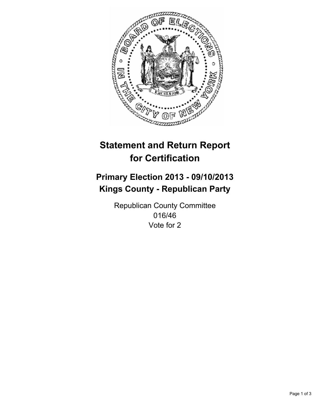

# **Statement and Return Report for Certification**

# **Primary Election 2013 - 09/10/2013 Kings County - Republican Party**

Republican County Committee 016/46 Vote for 2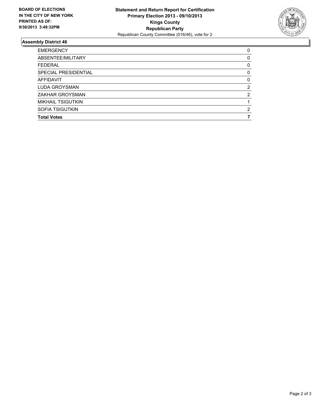

## **Assembly District 46**

| ABSENTEE/MILITARY<br>0<br><b>FEDERAL</b><br>0<br>SPECIAL PRESIDENTIAL<br>$\Omega$<br><b>AFFIDAVIT</b><br>0<br>LUDA GROYSMAN<br>2<br>ZAKHAR GROYSMAN<br>2<br><b>MIKHAIL TSIGUTKIN</b><br>SOFIA TSIGUTKIN<br>2<br><b>Total Votes</b> | <b>EMERGENCY</b> | 0 |
|------------------------------------------------------------------------------------------------------------------------------------------------------------------------------------------------------------------------------------|------------------|---|
|                                                                                                                                                                                                                                    |                  |   |
|                                                                                                                                                                                                                                    |                  |   |
|                                                                                                                                                                                                                                    |                  |   |
|                                                                                                                                                                                                                                    |                  |   |
|                                                                                                                                                                                                                                    |                  |   |
|                                                                                                                                                                                                                                    |                  |   |
|                                                                                                                                                                                                                                    |                  |   |
|                                                                                                                                                                                                                                    |                  |   |
|                                                                                                                                                                                                                                    |                  |   |